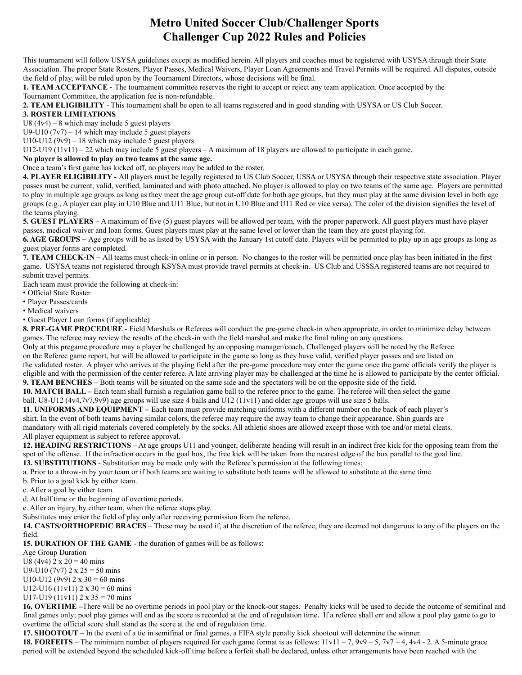## **Metro United Soccer Club/Challenger Sports Challenger Cup 2022 Rules and Policies**

This tournament will follow USYSA guidelines except as modified herein. All players and coaches must be registered with USYSA through their State Association. The proper State Rosters, Player Passes, Medical Waivers, Player Loan Agreements and Travel Permits will be required. All disputes, outside the field of play, will be ruled upon by the Tournament Directors, whose decisions will be final.

**1. TEAM ACCEPTANCE -** The tournament committee reserves the right to accept or reject any team application. Once accepted by the Tournament Committee, the application fee is non-refundable.

**2. TEAM ELIGIBILITY** - This tournament shall be open to all teams registered and in good standing with USYSA or US Club Soccer.

## **3. ROSTER LIMITATIONS**

U8  $(4v4) - 8$  which may include 5 guest players

U9-U10  $(7v7)$  – 14 which may include 5 guest players

U10-U12 ( $9v9$ ) – 18 which may include 5 guest players

U12-U19 (11v11) – 22 which may include 5 guest players – A maximum of 18 players are allowed to participate in each game.

## **No player is allowed to play on two teams at the same age.**

Once a team's first game has kicked off, no players may be added to the roster.

**4. PLAYER ELIGIBILITY -** All players must be legally registered to US Club Soccer, USSA or USYSA through their respective state association. Player passes must be current, valid, verified, laminated and with photo attached. No player is allowed to play on two teams of the same age. Players are permitted to play in multiple age groups as long as they meet the age group cut-off date for both age groups, but they must play at the same division level in both age groups (e.g., A player can play in U10 Blue and U11 Blue, but not in U10 Blue and U11 Red or vice versa). The color of the division signifies the level of the teams playing.

**5. GUEST PLAYERS** – A maximum of five (5) guest players will be allowed per team, with the proper paperwork. All guest players must have player passes, medical waiver and loan forms. Guest players must play at the same level or lower than the team they are guest playing for.

**6. AGE GROUPS –** Age groups will be as listed by USYSA with the January 1st cutoff date. Players will be permitted to play up in age groups as long as guest player forms are completed.

**7. TEAM CHECK-IN –** All teams must check-in online or in person. No changes to the roster will be permitted once play has been initiated in the first game. USYSA teams not registered through KSYSA must provide travel permits at check-in. US Club and USSSA registered teams are not required to submit travel permits.

Each team must provide the following at check-in:

• Official State Roster

• Player Passes/cards

• Medical waivers

• Guest Player Loan forms (if applicable)

**8. PRE-GAME PROCEDURE** - Field Marshals or Referees will conduct the pre-game check-in when appropriate, in order to minimize delay between games. The referee may review the results of the check-in with the field marshal and make the final ruling on any questions.

Only at this pregame procedure may a player be challenged by an opposing manager/coach. Challenged players will be noted by the Referee on the Referee game report, but will be allowed to participate in the game so long as they have valid, verified player passes and are listed on the validated roster. A player who arrives at the playing field after the pre-game procedure may enter the game once the game officials verify the player is eligible and with the permission of the center referee. A late arriving player may be challenged at the time he is allowed to participate by the center official.

**9. TEAM BENCHES** – Both teams will be situated on the same side and the spectators will be on the opposite side of the field.

**10. MATCH BALL –** Each team shall furnish a regulation game ball to the referee prior to the game. The referee will then select the game ball. U8-U12 (4v4,7v7,9v9) age groups will use size 4 balls and U12 (11v11) and older age groups will use size 5 balls.

**11. UNIFORMS AND EQUIPMENT –** Each team must provide matching uniforms with a different number on the back of each player's

shirt. In the event of both teams having similar colors, the referee may require the away team to change their appearance. Shin guards are mandatory with all rigid materials covered completely by the socks. All athletic shoes are allowed except those with toe and/or metal cleats. All player equipment is subject to referee approval.

**12. HEADING RESTRICTIONS** – At age groups U11 and younger, deliberate heading will result in an indirect free kick for the opposing team from the spot of the offense. If the infraction occurs in the goal box, the free kick will be taken from the nearest edge of the box parallel to the goal line. **13. SUBSTITUTIONS** - Substitution may be made only with the Referee's permission at the following times:

a. Prior to a throw-in by your team or if both teams are waiting to substitute both teams will be allowed to substitute at the same time.

b. Prior to a goal kick by either team.

c. After a goal by either team.

d. At half time or the beginning of overtime periods.

e. After an injury, by either team, when the referee stops play.

Substitutes may enter the field of play only after receiving permission from the referee.

**14. CASTS/ORTHOPEDIC BRACES** – These may be used if, at the discretion of the referee, they are deemed not dangerous to any of the players on the field.

**15. DURATION OF THE GAME** - the duration of games will be as follows:

Age Group Duration

U8 (4v4)  $2 \times 20 = 40$  mins

U9-U10 (7v7)  $2 \times 25 = 50$  mins

U10-U12 (9v9)  $2 \times 30 = 60$  mins

U12-U16 (11v11)  $2 \times 30 = 60$  mins

U17-U19 (11v11)  $2 \times 35 = 70$  mins

**16. OVERTIME –**There will be no overtime periods in pool play or the knock-out stages. Penalty kicks will be used to decide the outcome of semifinal and final games only; pool play games will end as the score is recorded at the end of regulation time. If a referee shall err and allow a pool play game to go to overtime the official score shall stand as the score at the end of regulation time.

**17. SHOOTOUT –** In the event of a tie in semifinal or final games, a FIFA style penalty kick shootout will determine the winner.

**18. FORFEITS** – The minimum number of players required for each game format is as follows: 11v11 – 7, 9v9 – 5, 7v7 – 4, 4v4 - 2. A 5-minute grace period will be extended beyond the scheduled kick-off time before a forfeit shall be declared, unless other arrangements have been reached with the